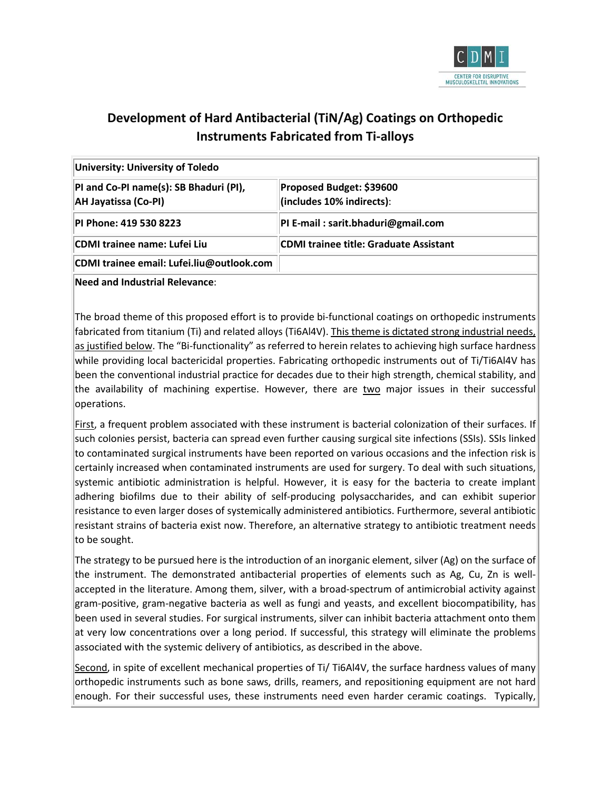

# **Development of Hard Antibacterial (TiN/Ag) Coatings on Orthopedic Instruments Fabricated from Ti-alloys**

| University: University of Toledo                                      |                                                       |  |  |  |
|-----------------------------------------------------------------------|-------------------------------------------------------|--|--|--|
| PI and Co-PI name(s): SB Bhaduri (PI),<br><b>AH Jayatissa (Co-PI)</b> | Proposed Budget: \$39600<br>(includes 10% indirects): |  |  |  |
| PI Phone: 419 530 8223                                                | PI E-mail: sarit.bhaduri@gmail.com                    |  |  |  |
| CDMI trainee name: Lufei Liu                                          | CDMI trainee title: Graduate Assistant                |  |  |  |
| CDMI trainee email: Lufei.liu@outlook.com                             |                                                       |  |  |  |

**Need and Industrial Relevance**:

The broad theme of this proposed effort is to provide bi-functional coatings on orthopedic instruments fabricated from titanium (Ti) and related alloys (Ti6Al4V). This theme is dictated strong industrial needs, as justified below. The "Bi-functionality" as referred to herein relates to achieving high surface hardness while providing local bactericidal properties. Fabricating orthopedic instruments out of Ti/Ti6Al4V has been the conventional industrial practice for decades due to their high strength, chemical stability, and the availability of machining expertise. However, there are two major issues in their successful operations.

First, a frequent problem associated with these instrument is bacterial colonization of their surfaces. If such colonies persist, bacteria can spread even further causing surgical site infections (SSIs). SSIs linked to contaminated surgical instruments have been reported on various occasions and the infection risk is certainly increased when contaminated instruments are used for surgery. To deal with such situations, systemic antibiotic administration is helpful. However, it is easy for the bacteria to create implant adhering biofilms due to their ability of self-producing polysaccharides, and can exhibit superior resistance to even larger doses of systemically administered antibiotics. Furthermore, several antibiotic resistant strains of bacteria exist now. Therefore, an alternative strategy to antibiotic treatment needs to be sought.

The strategy to be pursued here is the introduction of an inorganic element, silver (Ag) on the surface of the instrument. The demonstrated antibacterial properties of elements such as Ag, Cu, Zn is wellaccepted in the literature. Among them, silver, with a broad-spectrum of antimicrobial activity against gram-positive, gram-negative bacteria as well as fungi and yeasts, and excellent biocompatibility, has been used in several studies. For surgical instruments, silver can inhibit bacteria attachment onto them at very low concentrations over a long period. If successful, this strategy will eliminate the problems associated with the systemic delivery of antibiotics, as described in the above.

Second, in spite of excellent mechanical properties of Ti/ Ti6Al4V, the surface hardness values of many orthopedic instruments such as bone saws, drills, reamers, and repositioning equipment are not hard enough. For their successful uses, these instruments need even harder ceramic coatings. Typically,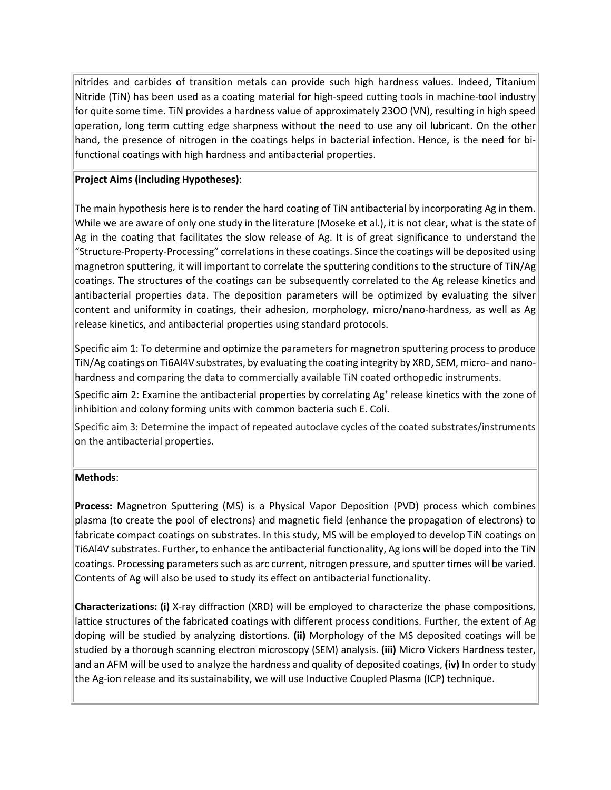nitrides and carbides of transition metals can provide such high hardness values. Indeed, Titanium Nitride (TiN) has been used as a coating material for high-speed cutting tools in machine-tool industry for quite some time. TiN provides a hardness value of approximately 23OO (VN), resulting in high speed operation, long term cutting edge sharpness without the need to use any oil lubricant. On the other hand, the presence of nitrogen in the coatings helps in bacterial infection. Hence, is the need for bifunctional coatings with high hardness and antibacterial properties.

## **Project Aims (including Hypotheses)**:

The main hypothesis here is to render the hard coating of TiN antibacterial by incorporating Ag in them. While we are aware of only one study in the literature (Moseke et al.), it is not clear, what is the state of Ag in the coating that facilitates the slow release of Ag. It is of great significance to understand the "Structure-Property-Processing" correlations in these coatings. Since the coatings will be deposited using magnetron sputtering, it will important to correlate the sputtering conditions to the structure of TiN/Ag coatings. The structures of the coatings can be subsequently correlated to the Ag release kinetics and antibacterial properties data. The deposition parameters will be optimized by evaluating the silver content and uniformity in coatings, their adhesion, morphology, micro/nano-hardness, as well as Ag release kinetics, and antibacterial properties using standard protocols.

Specific aim 1: To determine and optimize the parameters for magnetron sputtering process to produce TiN/Ag coatings on Ti6Al4V substrates, by evaluating the coating integrity by XRD, SEM, micro- and nanohardness and comparing the data to commercially available TiN coated orthopedic instruments.

Specific aim 2: Examine the antibacterial properties by correlating  $Ag<sup>+</sup>$  release kinetics with the zone of inhibition and colony forming units with common bacteria such E. Coli.

Specific aim 3: Determine the impact of repeated autoclave cycles of the coated substrates/instruments on the antibacterial properties.

# **Methods**:

**Process:** Magnetron Sputtering (MS) is a Physical Vapor Deposition (PVD) process which combines plasma (to create the pool of electrons) and magnetic field (enhance the propagation of electrons) to fabricate compact coatings on substrates. In this study, MS will be employed to develop TiN coatings on Ti6Al4V substrates. Further, to enhance the antibacterial functionality, Ag ions will be doped into the TiN coatings. Processing parameters such as arc current, nitrogen pressure, and sputter times will be varied. Contents of Ag will also be used to study its effect on antibacterial functionality.

**Characterizations: (i)** X-ray diffraction (XRD) will be employed to characterize the phase compositions, lattice structures of the fabricated coatings with different process conditions. Further, the extent of Ag doping will be studied by analyzing distortions. **(ii)** Morphology of the MS deposited coatings will be studied by a thorough scanning electron microscopy (SEM) analysis. **(iii)** Micro Vickers Hardness tester, and an AFM will be used to analyze the hardness and quality of deposited coatings, **(iv)** In order to study the Ag-ion release and its sustainability, we will use Inductive Coupled Plasma (ICP) technique.